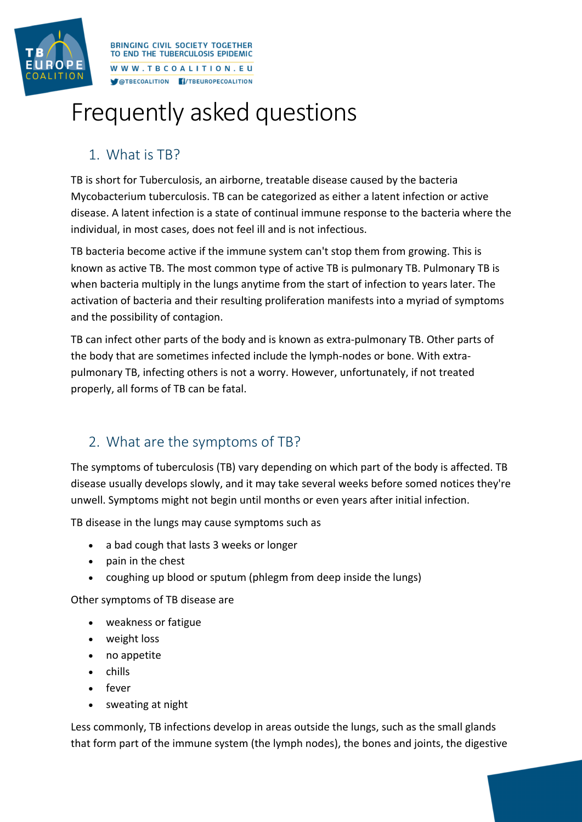

**RRINGING CIVIL SOCIETY TOGETHER** TO END THE TUBERCULOSIS EPIDEMIC WWW.TBCOALITION.EU **MOTBECOALITION FI/TBEUROPECOALITION** 

# Frequently asked questions

## 1. What is TB?

TB is short for Tuberculosis, an airborne, treatable disease caused by the bacteria Mycobacterium tuberculosis. TB can be categorized as either a latent infection or active disease. A latent infection is a state of continual immune response to the bacteria where the individual, in most cases, does not feel ill and is not infectious.

TB bacteria become active if the immune system can't stop them from growing. This is known as active TB. The most common type of active TB is pulmonary TB. Pulmonary TB is when bacteria multiply in the lungs anytime from the start of infection to years later. The activation of bacteria and their resulting proliferation manifests into a myriad of symptoms and the possibility of contagion.

TB can infect other parts of the body and is known as extra-pulmonary TB. Other parts of the body that are sometimes infected include the lymph-nodes or bone. With extrapulmonary TB, infecting others is not a worry. However, unfortunately, if not treated properly, all forms of TB can be fatal.

## 2. What are the symptoms of TB?

The symptoms of tuberculosis (TB) vary depending on which part of the body is affected. TB disease usually develops slowly, and it may take several weeks before somed notices they're unwell. Symptoms might not begin until months or even years after initial infection.

TB disease in the lungs may cause symptoms such as

- a bad cough that lasts 3 weeks or longer
- pain in the chest
- coughing up blood or sputum (phlegm from deep inside the lungs)

Other symptoms of TB disease are

- weakness or fatigue
- weight loss
- no appetite
- chills
- fever
- sweating at night

Less commonly, TB infections develop in areas outside the lungs, such as the small glands that form part of the immune system (the lymph nodes), the bones and joints, the digestive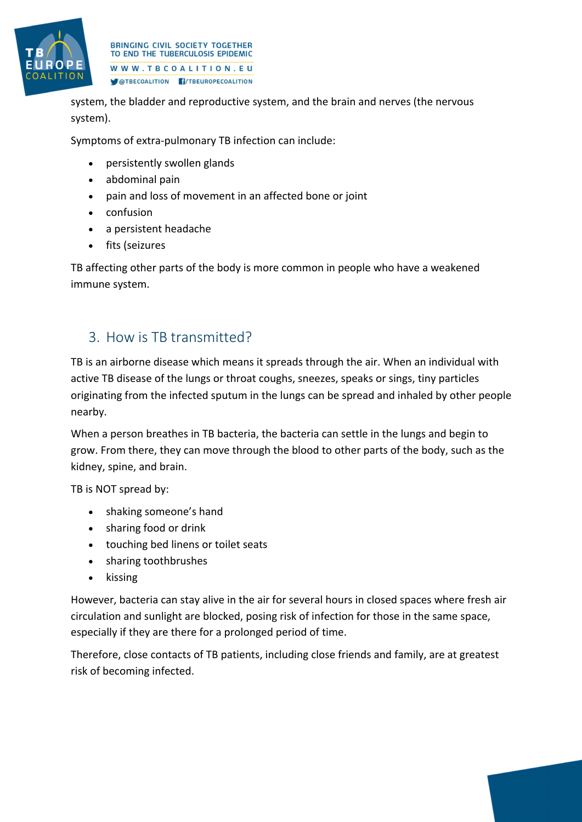

**RRINGING CIVIL SOCIETY TOGETHER** TO END THE TUBERCULOSIS EPIDEMIC WWW.TBCOALITION.EU OTBECOALITION F/TBEUROPECOALITION

system, the bladder and reproductive system, and the brain and nerves (the nervous system).

Symptoms of extra-pulmonary TB infection can include:

- persistently swollen glands
- abdominal pain
- pain and loss of movement in an affected bone or joint
- confusion
- a persistent headache
- fits (seizures

TB affecting other parts of the body is more common in people who have a weakened immune system.

## 3. How is TB transmitted?

TB is an airborne disease which means it spreads through the air. When an individual with active TB disease of the lungs or throat coughs, sneezes, speaks or sings, tiny particles originating from the infected sputum in the lungs can be spread and inhaled by other people nearby.

When a person breathes in TB bacteria, the bacteria can settle in the lungs and begin to grow. From there, they can move through the blood to other parts of the body, such as the kidney, spine, and brain.

TB is NOT spread by:

- shaking someone's hand
- sharing food or drink
- touching bed linens or toilet seats
- sharing toothbrushes
- kissing

However, bacteria can stay alive in the air for several hours in closed spaces where fresh air circulation and sunlight are blocked, posing risk of infection for those in the same space, especially if they are there for a prolonged period of time.

Therefore, close contacts of TB patients, including close friends and family, are at greatest risk of becoming infected.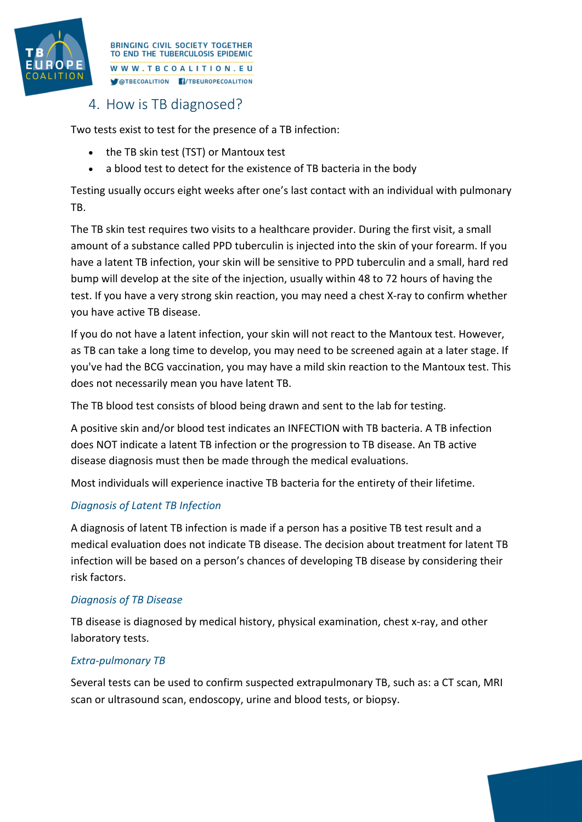

**RRINGING CIVIL SOCIETY TOGETHER** TO END THE TUBERCULOSIS EPIDEMIC WWW.TBCOALITION.EU **MOTBECOALITION FI/TBEUROPECOALITION** 

## 4. How is TB diagnosed?

Two tests exist to test for the presence of a TB infection:

- the TB skin test (TST) or Mantoux test
- a blood test to detect for the existence of TB bacteria in the body

Testing usually occurs eight weeks after one's last contact with an individual with pulmonary TB.

The TB skin test requires two visits to a healthcare provider. During the first visit, a small amount of a substance called PPD tuberculin is injected into the skin of your forearm. If you have a latent TB infection, your skin will be sensitive to PPD tuberculin and a small, hard red bump will develop at the site of the injection, usually within 48 to 72 hours of having the test. If you have a very strong skin reaction, you may need a chest X-ray to confirm whether you have active TB disease.

If you do not have a latent infection, your skin will not react to the Mantoux test. However, as TB can take a long time to develop, you may need to be screened again at a later stage. If you've had the BCG vaccination, you may have a mild skin reaction to the Mantoux test. This does not necessarily mean you have latent TB.

The TB blood test consists of blood being drawn and sent to the lab for testing.

A positive skin and/or blood test indicates an INFECTION with TB bacteria. A TB infection does NOT indicate a latent TB infection or the progression to TB disease. An TB active disease diagnosis must then be made through the medical evaluations.

Most individuals will experience inactive TB bacteria for the entirety of their lifetime.

#### *Diagnosis of Latent TB Infection*

A diagnosis of latent TB infection is made if a person has a positive TB test result and a medical evaluation does not indicate TB disease. The decision about treatment for latent TB infection will be based on a person's chances of developing TB disease by considering their risk factors.

#### *Diagnosis of TB Disease*

TB disease is diagnosed by medical history, physical examination, chest x-ray, and other laboratory tests.

#### *Extra-pulmonary TB*

Several tests can be used to confirm suspected extrapulmonary TB, such as: a CT scan, MRI scan or ultrasound scan, endoscopy, urine and blood tests, or biopsy.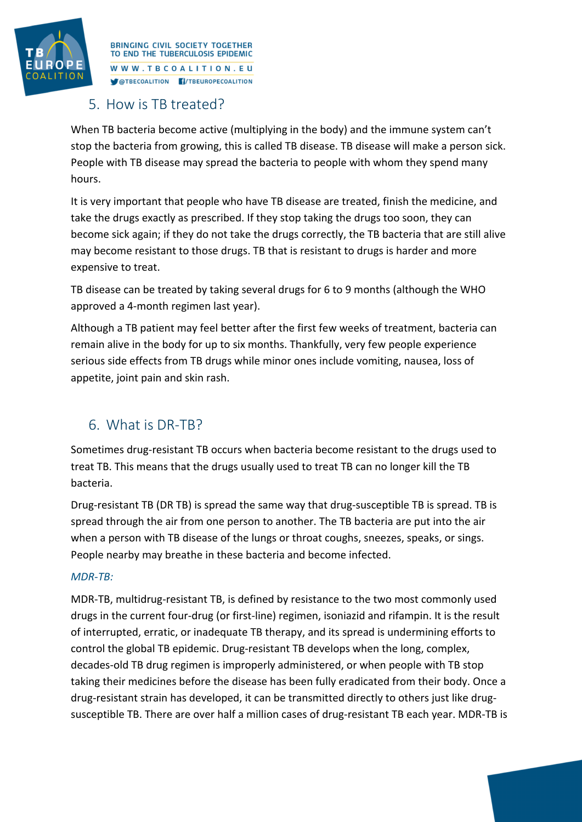

**RRINGING CIVIL SOCIETY TOGETHER** TO END THE TUBERCULOSIS EPIDEMIC WWW.TBCOALITION.EU **MOTBECOALITION FI/TBEUROPECOALITION** 

## 5. How is TB treated?

When TB bacteria become active (multiplying in the body) and the immune system can't stop the bacteria from growing, this is called TB disease. TB disease will make a person sick. People with TB disease may spread the bacteria to people with whom they spend many hours.

It is very important that people who have TB disease are treated, finish the medicine, and take the drugs exactly as prescribed. If they stop taking the drugs too soon, they can become sick again; if they do not take the drugs correctly, the TB bacteria that are still alive may become resistant to those drugs. TB that is resistant to drugs is harder and more expensive to treat.

TB disease can be treated by taking several drugs for 6 to 9 months (although the WHO approved a 4-month regimen last year).

Although a TB patient may feel better after the first few weeks of treatment, bacteria can remain alive in the body for up to six months. Thankfully, very few people experience serious side effects from TB drugs while minor ones include vomiting, nausea, loss of appetite, joint pain and skin rash.

## 6. What is DR-TB?

Sometimes drug-resistant TB occurs when bacteria become resistant to the drugs used to treat TB. This means that the drugs usually used to treat TB can no longer kill the TB bacteria.

Drug-resistant TB (DR TB) is spread the same way that drug-susceptible TB is spread. TB is spread through the air from one person to another. The TB bacteria are put into the air when a person with TB disease of the lungs or throat coughs, sneezes, speaks, or sings. People nearby may breathe in these bacteria and become infected.

### *MDR-TB:*

MDR-TB, multidrug-resistant TB, is defined by resistance to the two most commonly used drugs in the current four-drug (or first-line) regimen, isoniazid and rifampin. It is the result of interrupted, erratic, or inadequate TB therapy, and its spread is undermining efforts to control the global TB epidemic. Drug-resistant TB develops when the long, complex, decades-old TB drug regimen is improperly administered, or when people with TB stop taking their medicines before the disease has been fully eradicated from their body. Once a drug-resistant strain has developed, it can be transmitted directly to others just like drugsusceptible TB. There are over half a million cases of drug-resistant TB each year. MDR-TB is